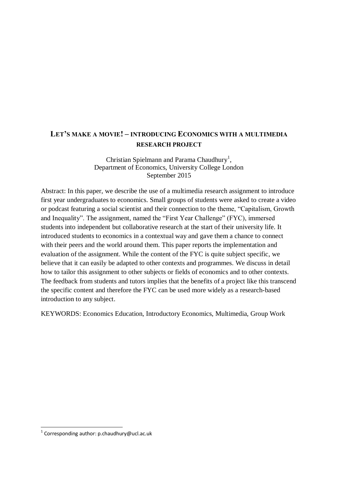# **LET'S MAKE A MOVIE! – INTRODUCING ECONOMICS WITH A MULTIMEDIA RESEARCH PROJECT**

### Christian Spielmann and Parama Chaudhury<sup>1</sup>, Department of Economics, University College London September 2015

Abstract: In this paper, we describe the use of a multimedia research assignment to introduce first year undergraduates to economics. Small groups of students were asked to create a video or podcast featuring a social scientist and their connection to the theme, "Capitalism, Growth and Inequality". The assignment, named the "First Year Challenge" (FYC), immersed students into independent but collaborative research at the start of their university life. It introduced students to economics in a contextual way and gave them a chance to connect with their peers and the world around them. This paper reports the implementation and evaluation of the assignment. While the content of the FYC is quite subject specific, we believe that it can easily be adapted to other contexts and programmes. We discuss in detail how to tailor this assignment to other subjects or fields of economics and to other contexts. The feedback from students and tutors implies that the benefits of a project like this transcend the specific content and therefore the FYC can be used more widely as a research-based introduction to any subject.

KEYWORDS: Economics Education, Introductory Economics, Multimedia, Group Work

**.** 

 $^{1}$  Corresponding author: p.chaudhury@ucl.ac.uk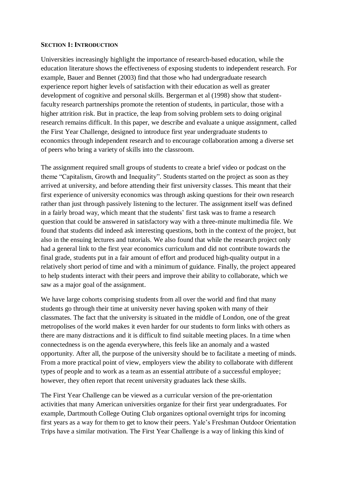### **SECTION 1: INTRODUCTION**

Universities increasingly highlight the importance of research-based education, while the education literature shows the effectiveness of exposing students to independent research. For example, Bauer and Bennet (2003) find that those who had undergraduate research experience report higher levels of satisfaction with their education as well as greater development of cognitive and personal skills. Bergerman et al (1998) show that studentfaculty research partnerships promote the retention of students, in particular, those with a higher attrition risk. But in practice, the leap from solving problem sets to doing original research remains difficult. In this paper, we describe and evaluate a unique assignment, called the First Year Challenge, designed to introduce first year undergraduate students to economics through independent research and to encourage collaboration among a diverse set of peers who bring a variety of skills into the classroom.

The assignment required small groups of students to create a brief video or podcast on the theme "Capitalism, Growth and Inequality". Students started on the project as soon as they arrived at university, and before attending their first university classes. This meant that their first experience of university economics was through asking questions for their own research rather than just through passively listening to the lecturer. The assignment itself was defined in a fairly broad way, which meant that the students' first task was to frame a research question that could be answered in satisfactory way with a three-minute multimedia file. We found that students did indeed ask interesting questions, both in the context of the project, but also in the ensuing lectures and tutorials. We also found that while the research project only had a general link to the first year economics curriculum and did not contribute towards the final grade, students put in a fair amount of effort and produced high-quality output in a relatively short period of time and with a minimum of guidance. Finally, the project appeared to help students interact with their peers and improve their ability to collaborate, which we saw as a major goal of the assignment.

We have large cohorts comprising students from all over the world and find that many students go through their time at university never having spoken with many of their classmates. The fact that the university is situated in the middle of London, one of the great metropolises of the world makes it even harder for our students to form links with others as there are many distractions and it is difficult to find suitable meeting places. In a time when connectedness is on the agenda everywhere, this feels like an anomaly and a wasted opportunity. After all, the purpose of the university should be to facilitate a meeting of minds. From a more practical point of view, employers view the ability to collaborate with different types of people and to work as a team as an essential attribute of a successful employee; however, they often report that recent university graduates lack these skills.

The First Year Challenge can be viewed as a curricular version of the pre-orientation activities that many American universities organize for their first year undergraduates. For example, Dartmouth College Outing Club organizes optional overnight trips for incoming first years as a way for them to get to know their peers. Yale's Freshman Outdoor Orientation Trips have a similar motivation. The First Year Challenge is a way of linking this kind of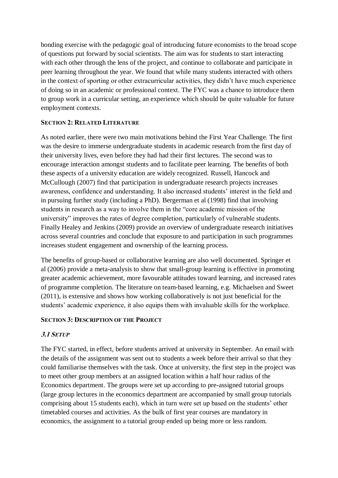bonding exercise with the pedagogic goal of introducing future economists to the broad scope of questions put forward by social scientists. The aim was for students to start interacting with each other through the lens of the project, and continue to collaborate and participate in peer learning throughout the year. We found that while many students interacted with others in the context of sporting or other extracurricular activities, they didn't have much experience of doing so in an academic or professional context. The FYC was a chance to introduce them to group work in a curricular setting, an experience which should be quite valuable for future employment contexts.

### **SECTION 2: RELATED LITERATURE**

As noted earlier, there were two main motivations behind the First Year Challenge. The first was the desire to immerse undergraduate students in academic research from the first day of their university lives, even before they had had their first lectures. The second was to encourage interaction amongst students and to facilitate peer learning. The benefits of both these aspects of a university education are widely recognized. Russell, Hancock and McCullough (2007) find that participation in undergraduate research projects increases awareness, confidence and understanding. It also increased students' interest in the field and in pursuing further study (including a PhD). Bergerman et al (1998) find that involving students in research as a way to involve them in the "core academic mission of the university" improves the rates of degree completion, particularly of vulnerable students. Finally Healey and Jenkins (2009) provide an overview of undergraduate research initiatives across several countries and conclude that exposure to and participation in such programmes increases student engagement and ownership of the learning process.

The benefits of group-based or collaborative learning are also well documented. Springer et al (2006) provide a meta-analysis to show that small-group learning is effective in promoting greater academic achievement, more favourable attitudes toward learning, and increased rates of programme completion. The literature on team-based learning, e.g. Michaelsen and Sweet (2011), is extensive and shows how working collaboratively is not just beneficial for the students' academic experience, it also equips them with invaluable skills for the workplace.

## **SECTION 3: DESCRIPTION OF THE PROJECT**

## **3.1 SETUP**

The FYC started, in effect, before students arrived at university in September. An email with the details of the assignment was sent out to students a week before their arrival so that they could familiarise themselves with the task. Once at university, the first step in the project was to meet other group members at an assigned location within a half hour radius of the Economics department. The groups were set up according to pre-assigned tutorial groups (large group lectures in the economics department are accompanied by small group tutorials comprising about 15 students each), which in turn were set up based on the students' other timetabled courses and activities. As the bulk of first year courses are mandatory in economics, the assignment to a tutorial group ended up being more or less random.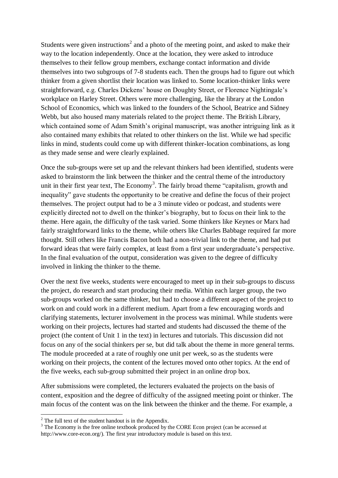Students were given instructions<sup>2</sup> and a photo of the meeting point, and asked to make their way to the location independently. Once at the location, they were asked to introduce themselves to their fellow group members, exchange contact information and divide themselves into two subgroups of 7-8 students each. Then the groups had to figure out which thinker from a given shortlist their location was linked to. Some location-thinker links were straightforward, e.g. Charles Dickens' house on Doughty Street, or Florence Nightingale's workplace on Harley Street. Others were more challenging, like the library at the London School of Economics, which was linked to the founders of the School, Beatrice and Sidney Webb, but also housed many materials related to the project theme. The British Library, which contained some of Adam Smith's original manuscript, was another intriguing link as it also contained many exhibits that related to other thinkers on the list. While we had specific links in mind, students could come up with different thinker-location combinations, as long as they made sense and were clearly explained.

Once the sub-groups were set up and the relevant thinkers had been identified, students were asked to brainstorm the link between the thinker and the central theme of the introductory unit in their first year text, The Economy<sup>3</sup>. The fairly broad theme "capitalism, growth and inequality" gave students the opportunity to be creative and define the focus of their project themselves. The project output had to be a 3 minute video or podcast, and students were explicitly directed not to dwell on the thinker's biography, but to focus on their link to the theme. Here again, the difficulty of the task varied. Some thinkers like Keynes or Marx had fairly straightforward links to the theme, while others like Charles Babbage required far more thought. Still others like Francis Bacon both had a non-trivial link to the theme, and had put forward ideas that were fairly complex, at least from a first year undergraduate's perspective. In the final evaluation of the output, consideration was given to the degree of difficulty involved in linking the thinker to the theme.

Over the next five weeks, students were encouraged to meet up in their sub-groups to discuss the project, do research and start producing their media. Within each larger group, the two sub-groups worked on the same thinker, but had to choose a different aspect of the project to work on and could work in a different medium. Apart from a few encouraging words and clarifying statements, lecturer involvement in the process was minimal. While students were working on their projects, lectures had started and students had discussed the theme of the project (the content of Unit 1 in the text) in lectures and tutorials. This discussion did not focus on any of the social thinkers per se, but did talk about the theme in more general terms. The module proceeded at a rate of roughly one unit per week, so as the students were working on their projects, the content of the lectures moved onto other topics. At the end of the five weeks, each sub-group submitted their project in an online drop box.

After submissions were completed, the lecturers evaluated the projects on the basis of content, exposition and the degree of difficulty of the assigned meeting point or thinker. The main focus of the content was on the link between the thinker and the theme. For example, a

1

 $2^2$  The full text of the student handout is in the Appendix.

<sup>&</sup>lt;sup>3</sup> The Economy is the free online textbook produced by the CORE Econ project (can be accessed at http://www.core-econ.org/). The first year introductory module is based on this text.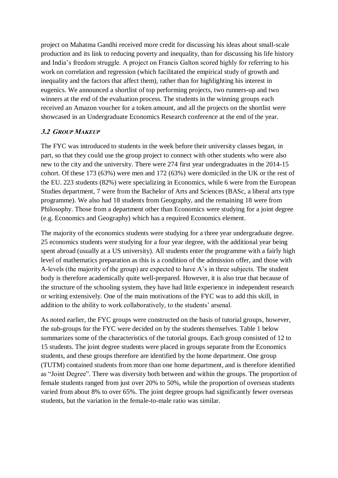project on Mahatma Gandhi received more credit for discussing his ideas about small-scale production and its link to reducing poverty and inequality, than for discussing his life history and India's freedom struggle. A project on Francis Galton scored highly for referring to his work on correlation and regression (which facilitated the empirical study of growth and inequality and the factors that affect them), rather than for highlighting his interest in eugenics. We announced a shortlist of top performing projects, two runners-up and two winners at the end of the evaluation process. The students in the winning groups each received an Amazon voucher for a token amount, and all the projects on the shortlist were showcased in an Undergraduate Economics Research conference at the end of the year.

## **3.2 GROUP MAKEUP**

The FYC was introduced to students in the week before their university classes began, in part, so that they could use the group project to connect with other students who were also new to the city and the university. There were 274 first year undergraduates in the 2014-15 cohort. Of these 173 (63%) were men and 172 (63%) were domiciled in the UK or the rest of the EU. 223 students (82%) were specializing in Economics, while 6 were from the European Studies department, 7 were from the Bachelor of Arts and Sciences (BASc, a liberal arts type programme). We also had 18 students from Geography, and the remaining 18 were from Philosophy. Those from a department other than Economics were studying for a joint degree (e.g. Economics and Geography) which has a required Economics element.

The majority of the economics students were studying for a three year undergraduate degree. 25 economics students were studying for a four year degree, with the additional year being spent abroad (usually at a US university). All students enter the programme with a fairly high level of mathematics preparation as this is a condition of the admission offer, and those with A-levels (the majority of the group) are expected to have A's in three subjects. The student body is therefore academically quite well-prepared. However, it is also true that because of the structure of the schooling system, they have had little experience in independent research or writing extensively. One of the main motivations of the FYC was to add this skill, in addition to the ability to work collaboratively, to the students' arsenal.

As noted earlier, the FYC groups were constructed on the basis of tutorial groups, however, the sub-groups for the FYC were decided on by the students themselves. Table 1 below summarizes some of the characteristics of the tutorial groups. Each group consisted of 12 to 15 students. The joint degree students were placed in groups separate from the Economics students, and these groups therefore are identified by the home department. One group (TUTM) contained students from more than one home department, and is therefore identified as "Joint Degree". There was diversity both between and within the groups. The proportion of female students ranged from just over 20% to 50%, while the proportion of overseas students varied from about 8% to over 65%. The joint degree groups had significantly fewer overseas students, but the variation in the female-to-male ratio was similar.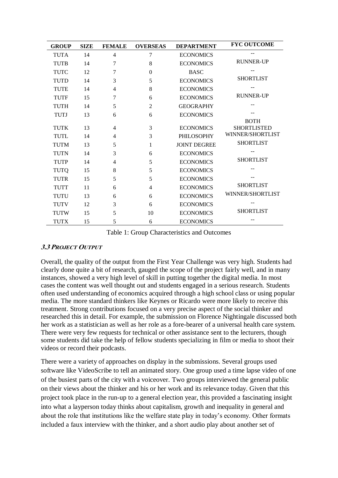| <b>GROUP</b> | <b>SIZE</b> | <b>FEMALE</b>  | <b>OVERSEAS</b> | <b>DEPARTMENT</b>   | <b>FYC OUTCOME</b> |
|--------------|-------------|----------------|-----------------|---------------------|--------------------|
| <b>TUTA</b>  | 14          | 4              | 7               | <b>ECONOMICS</b>    |                    |
| <b>TUTB</b>  | 14          | 7              | 8               | <b>ECONOMICS</b>    | <b>RUNNER-UP</b>   |
| TUTC         | 12          | 7              | $\Omega$        | <b>BASC</b>         |                    |
| <b>TUTD</b>  | 14          | 3              | 5               | <b>ECONOMICS</b>    | <b>SHORTLIST</b>   |
| <b>TUTE</b>  | 14          | $\overline{4}$ | 8               | <b>ECONOMICS</b>    |                    |
| <b>TUTF</b>  | 15          | 7              | 6               | <b>ECONOMICS</b>    | <b>RUNNER-UP</b>   |
| <b>TUTH</b>  | 14          | 5              | $\overline{2}$  | <b>GEOGRAPHY</b>    |                    |
| <b>TUTJ</b>  | 13          | 6              | 6               | <b>ECONOMICS</b>    |                    |
|              |             |                |                 |                     | <b>BOTH</b>        |
| TUTK         | 13          | 4              | 3               | <b>ECONOMICS</b>    | <b>SHORTLISTED</b> |
| <b>TUTL</b>  | 14          | 4              | 3               | <b>PHILOSOPHY</b>   | WINNER/SHORTLIST   |
| <b>TUTM</b>  | 13          | 5              | 1               | <b>JOINT DEGREE</b> | <b>SHORTLIST</b>   |
| <b>TUTN</b>  | 14          | 3              | 6               | <b>ECONOMICS</b>    |                    |
| <b>TUTP</b>  | 14          | 4              | 5               | <b>ECONOMICS</b>    | <b>SHORTLIST</b>   |
| <b>TUTQ</b>  | 15          | 8              | 5               | <b>ECONOMICS</b>    |                    |
| TUTR         | 15          | 5              | 5               | <b>ECONOMICS</b>    |                    |
| <b>TUTT</b>  | 11          | 6              | $\overline{4}$  | <b>ECONOMICS</b>    | <b>SHORTLIST</b>   |
| TUTU         | 13          | 6              | 6               | <b>ECONOMICS</b>    | WINNER/SHORTLIST   |
| <b>TUTV</b>  | 12          | 3              | 6               | <b>ECONOMICS</b>    |                    |
| <b>TUTW</b>  | 15          | 5              | 10              | <b>ECONOMICS</b>    | <b>SHORTLIST</b>   |
| TUTX         | 15          | 5              | 6               | <b>ECONOMICS</b>    |                    |

Table 1: Group Characteristics and Outcomes

## **3.3 PROJECT OUTPUT**

Overall, the quality of the output from the First Year Challenge was very high. Students had clearly done quite a bit of research, gauged the scope of the project fairly well, and in many instances, showed a very high level of skill in putting together the digital media. In most cases the content was well thought out and students engaged in a serious research. Students often used understanding of economics acquired through a high school class or using popular media. The more standard thinkers like Keynes or Ricardo were more likely to receive this treatment. Strong contributions focused on a very precise aspect of the social thinker and researched this in detail. For example, the submission on Florence Nightingale discussed both her work as a statistician as well as her role as a fore-bearer of a universal health care system. There were very few requests for technical or other assistance sent to the lecturers, though some students did take the help of fellow students specializing in film or media to shoot their videos or record their podcasts.

There were a variety of approaches on display in the submissions. Several groups used software like VideoScribe to tell an animated story. One group used a time lapse video of one of the busiest parts of the city with a voiceover. Two groups interviewed the general public on their views about the thinker and his or her work and its relevance today. Given that this project took place in the run-up to a general election year, this provided a fascinating insight into what a layperson today thinks about capitalism, growth and inequality in general and about the role that institutions like the welfare state play in today's economy. Other formats included a faux interview with the thinker, and a short audio play about another set of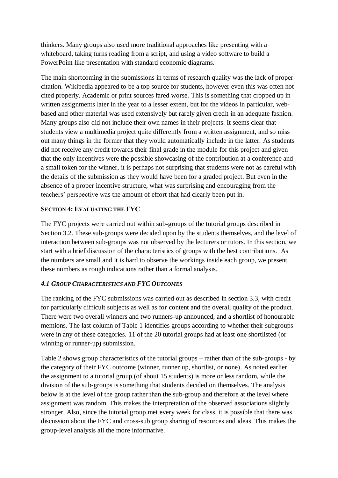thinkers. Many groups also used more traditional approaches like presenting with a whiteboard, taking turns reading from a script, and using a video software to build a PowerPoint like presentation with standard economic diagrams.

The main shortcoming in the submissions in terms of research quality was the lack of proper citation. Wikipedia appeared to be a top source for students, however even this was often not cited properly. Academic or print sources fared worse. This is something that cropped up in written assignments later in the year to a lesser extent, but for the videos in particular, webbased and other material was used extensively but rarely given credit in an adequate fashion. Many groups also did not include their own names in their projects. It seems clear that students view a multimedia project quite differently from a written assignment, and so miss out many things in the former that they would automatically include in the latter. As students did not receive any credit towards their final grade in the module for this project and given that the only incentives were the possible showcasing of the contribution at a conference and a small token for the winner, it is perhaps not surprising that students were not as careful with the details of the submission as they would have been for a graded project. But even in the absence of a proper incentive structure, what was surprising and encouraging from the teachers' perspective was the amount of effort that had clearly been put in.

## **SECTION 4: EVALUATING THE FYC**

The FYC projects were carried out within sub-groups of the tutorial groups described in Section 3.2. These sub-groups were decided upon by the students themselves, and the level of interaction between sub-groups was not observed by the lecturers or tutors. In this section, we start with a brief discussion of the characteristics of groups with the best contributions. As the numbers are small and it is hard to observe the workings inside each group, we present these numbers as rough indications rather than a formal analysis.

## *4.1 GROUP CHARACTERISTICS AND FYC OUTCOMES*

The ranking of the FYC submissions was carried out as described in section 3.3, with credit for particularly difficult subjects as well as for content and the overall quality of the product. There were two overall winners and two runners-up announced, and a shortlist of honourable mentions. The last column of Table 1 identifies groups according to whether their subgroups were in any of these categories. 11 of the 20 tutorial groups had at least one shortlisted (or winning or runner-up) submission.

Table 2 shows group characteristics of the tutorial groups – rather than of the sub-groups - by the category of their FYC outcome (winner, runner up, shortlist, or none). As noted earlier, the assignment to a tutorial group (of about 15 students) is more or less random, while the division of the sub-groups is something that students decided on themselves. The analysis below is at the level of the group rather than the sub-group and therefore at the level where assignment was random. This makes the interpretation of the observed associations slightly stronger. Also, since the tutorial group met every week for class, it is possible that there was discussion about the FYC and cross-sub group sharing of resources and ideas. This makes the group-level analysis all the more informative.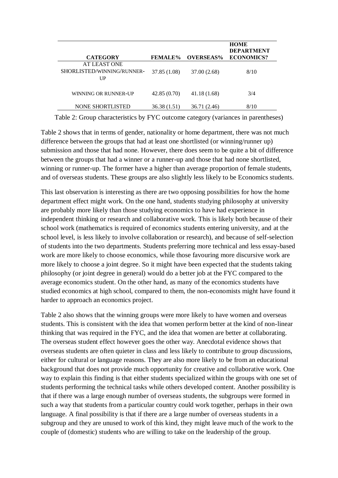|                                                  |                |                  | <b>HOME</b><br><b>DEPARTMENT</b> |
|--------------------------------------------------|----------------|------------------|----------------------------------|
| <b>CATEGORY</b>                                  | <b>FEMALE%</b> | <b>OVERSEAS%</b> | <b>ECONOMICS?</b>                |
| AT LEAST ONE<br>SHORLISTED/WINNING/RUNNER-<br>UP | 37.85 (1.08)   | 37.00 (2.68)     | 8/10                             |
| WINNING OR RUNNER-UP                             | 42.85(0.70)    | 41.18(1.68)      | 3/4                              |
| <b>NONE SHORTLISTED</b>                          | 36.38(1.51)    | 36.71 (2.46)     | 8/10                             |

Table 2: Group characteristics by FYC outcome category (variances in parentheses)

Table 2 shows that in terms of gender, nationality or home department, there was not much difference between the groups that had at least one shortlisted (or winning/runner up) submission and those that had none. However, there does seem to be quite a bit of difference between the groups that had a winner or a runner-up and those that had none shortlisted, winning or runner-up. The former have a higher than average proportion of female students, and of overseas students. These groups are also slightly less likely to be Economics students.

This last observation is interesting as there are two opposing possibilities for how the home department effect might work. On the one hand, students studying philosophy at university are probably more likely than those studying economics to have had experience in independent thinking or research and collaborative work. This is likely both because of their school work (mathematics is required of economics students entering university, and at the school level, is less likely to involve collaboration or research), and because of self-selection of students into the two departments. Students preferring more technical and less essay-based work are more likely to choose economics, while those favouring more discursive work are more likely to choose a joint degree. So it might have been expected that the students taking philosophy (or joint degree in general) would do a better job at the FYC compared to the average economics student. On the other hand, as many of the economics students have studied economics at high school, compared to them, the non-economists might have found it harder to approach an economics project.

Table 2 also shows that the winning groups were more likely to have women and overseas students. This is consistent with the idea that women perform better at the kind of non-linear thinking that was required in the FYC, and the idea that women are better at collaborating. The overseas student effect however goes the other way. Anecdotal evidence shows that overseas students are often quieter in class and less likely to contribute to group discussions, either for cultural or language reasons. They are also more likely to be from an educational background that does not provide much opportunity for creative and collaborative work. One way to explain this finding is that either students specialized within the groups with one set of students performing the technical tasks while others developed content. Another possibility is that if there was a large enough number of overseas students, the subgroups were formed in such a way that students from a particular country could work together, perhaps in their own language. A final possibility is that if there are a large number of overseas students in a subgroup and they are unused to work of this kind, they might leave much of the work to the couple of (domestic) students who are willing to take on the leadership of the group.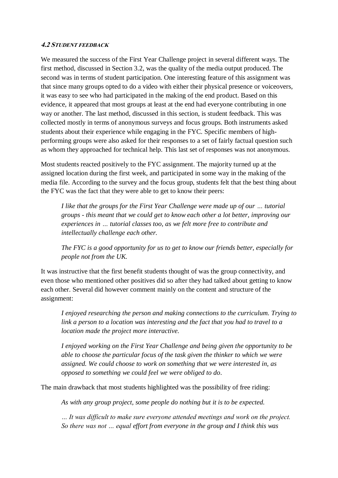### **4.2 STUDENT FEEDBACK**

We measured the success of the First Year Challenge project in several different ways. The first method, discussed in Section 3.2, was the quality of the media output produced. The second was in terms of student participation. One interesting feature of this assignment was that since many groups opted to do a video with either their physical presence or voiceovers, it was easy to see who had participated in the making of the end product. Based on this evidence, it appeared that most groups at least at the end had everyone contributing in one way or another. The last method, discussed in this section, is student feedback. This was collected mostly in terms of anonymous surveys and focus groups. Both instruments asked students about their experience while engaging in the FYC. Specific members of highperforming groups were also asked for their responses to a set of fairly factual question such as whom they approached for technical help. This last set of responses was not anonymous.

Most students reacted positively to the FYC assignment. The majority turned up at the assigned location during the first week, and participated in some way in the making of the media file. According to the survey and the focus group, students felt that the best thing about the FYC was the fact that they were able to get to know their peers:

*I like that the groups for the First Year Challenge were made up of our … tutorial groups - this meant that we could get to know each other a lot better, improving our experiences in … tutorial classes too, as we felt more free to contribute and intellectually challenge each other.*

*The FYC is a good opportunity for us to get to know our friends better, especially for people not from the UK.*

It was instructive that the first benefit students thought of was the group connectivity, and even those who mentioned other positives did so after they had talked about getting to know each other. Several did however comment mainly on the content and structure of the assignment:

*I enjoyed researching the person and making connections to the curriculum. Trying to link a person to a location was interesting and the fact that you had to travel to a location made the project more interactive.*

*I enjoyed working on the First Year Challenge and being given the opportunity to be able to choose the particular focus of the task given the thinker to which we were assigned. We could choose to work on something that we were interested in, as opposed to something we could feel we were obliged to do*.

The main drawback that most students highlighted was the possibility of free riding:

*As with any group project, some people do nothing but it is to be expected.*

*… It was difficult to make sure everyone attended meetings and work on the project. So there was not … equal effort from everyone in the group and I think this was*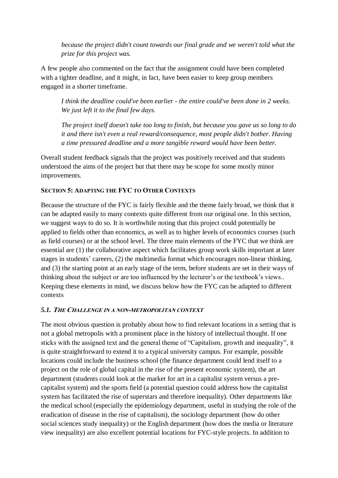*because the project didn't count towards our final grade and we weren't told what the prize for this project was.*

A few people also commented on the fact that the assignment could have been completed with a tighter deadline, and it might, in fact, have been easier to keep group members engaged in a shorter timeframe.

*I think the deadline could've been earlier - the entire could've been done in 2 weeks. We just left it to the final few days.*

*The project itself doesn't take too long to finish, but because you gave us so long to do it and there isn't even a real reward/consequence, most people didn't bother. Having a time pressured deadline and a more tangible reward would have been better.*

Overall student feedback signals that the project was positively received and that students understood the aims of the project but that there may be scope for some mostly minor improvements.

## **SECTION 5: ADAPTING THE FYC TO OTHER CONTEXTS**

Because the structure of the FYC is fairly flexible and the theme fairly broad, we think that it can be adapted easily to many contexts quite different from our original one. In this section, we suggest ways to do so. It is worthwhile noting that this project could potentially be applied to fields other than economics, as well as to higher levels of economics courses (such as field courses) or at the school level. The three main elements of the FYC that we think are essential are (1) the collaborative aspect which facilitates group work skills important at later stages in students' careers, (2) the multimedia format which encourages non-linear thinking, and (3) the starting point at an early stage of the term, before students are set in their ways of thinking about the subject or are too influenced by the lecturer's or the textbook's views.. Keeping these elements in mind, we discuss below how the FYC can be adapted to different contexts

## *5.1.* **<sup>T</sup>HE CHALLENGE IN A NON-METROPOLITAN CONTEXT**

The most obvious question is probably about how to find relevant locations in a setting that is not a global metropolis with a prominent place in the history of intellectual thought. If one sticks with the assigned text and the general theme of "Capitalism, growth and inequality", it is quite straightforward to extend it to a typical university campus. For example, possible locations could include the business school (the finance department could lend itself to a project on the role of global capital in the rise of the present economic system), the art department (students could look at the market for art in a capitalist system versus a precapitalist system) and the sports field (a potential question could address how the capitalist system has facilitated the rise of superstars and therefore inequality). Other departments like the medical school (especially the epidemiology department, useful in studying the role of the eradication of disease in the rise of capitalism), the sociology department (how do other social sciences study inequality) or the English department (how does the media or literature view inequality) are also excellent potential locations for FYC-style projects. In addition to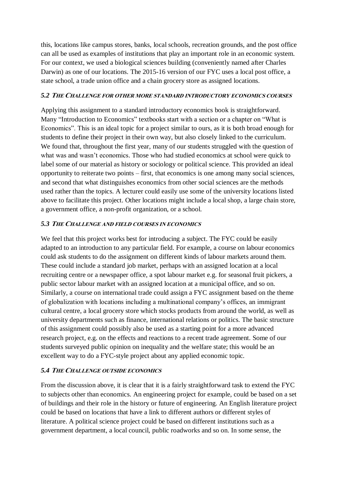this, locations like campus stores, banks, local schools, recreation grounds, and the post office can all be used as examples of institutions that play an important role in an economic system. For our context, we used a biological sciences building (conveniently named after Charles Darwin) as one of our locations. The 2015-16 version of our FYC uses a local post office, a state school, a trade union office and a chain grocery store as assigned locations.

## *5.2* **<sup>T</sup>HE CHALLENGE FOR OTHER MORE STANDARD INTRODUCTORY ECONOMICS COURSES**

Applying this assignment to a standard introductory economics book is straightforward. Many "Introduction to Economics" textbooks start with a section or a chapter on "What is Economics". This is an ideal topic for a project similar to ours, as it is both broad enough for students to define their project in their own way, but also closely linked to the curriculum. We found that, throughout the first year, many of our students struggled with the question of what was and wasn't economics. Those who had studied economics at school were quick to label some of our material as history or sociology or political science. This provided an ideal opportunity to reiterate two points – first, that economics is one among many social sciences, and second that what distinguishes economics from other social sciences are the methods used rather than the topics. A lecturer could easily use some of the university locations listed above to facilitate this project. Other locations might include a local shop, a large chain store, a government office, a non-profit organization, or a school.

## *5.3* **<sup>T</sup>HE CHALLENGE AND FIELD COURSES IN ECONOMICS**

We feel that this project works best for introducing a subject. The FYC could be easily adapted to an introduction to any particular field. For example, a course on labour economics could ask students to do the assignment on different kinds of labour markets around them. These could include a standard job market, perhaps with an assigned location at a local recruiting centre or a newspaper office, a spot labour market e.g. for seasonal fruit pickers, a public sector labour market with an assigned location at a municipal office, and so on. Similarly, a course on international trade could assign a FYC assignment based on the theme of globalization with locations including a multinational company's offices, an immigrant cultural centre, a local grocery store which stocks products from around the world, as well as university departments such as finance, international relations or politics. The basic structure of this assignment could possibly also be used as a starting point for a more advanced research project, e.g. on the effects and reactions to a recent trade agreement. Some of our students surveyed public opinion on inequality and the welfare state; this would be an excellent way to do a FYC-style project about any applied economic topic.

## *5.4* **<sup>T</sup>HE CHALLENGE OUTSIDE ECONOMICS**

From the discussion above, it is clear that it is a fairly straightforward task to extend the FYC to subjects other than economics. An engineering project for example, could be based on a set of buildings and their role in the history or future of engineering. An English literature project could be based on locations that have a link to different authors or different styles of literature. A political science project could be based on different institutions such as a government department, a local council, public roadworks and so on. In some sense, the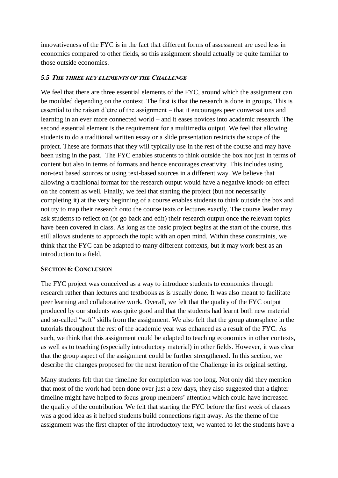innovativeness of the FYC is in the fact that different forms of assessment are used less in economics compared to other fields, so this assignment should actually be quite familiar to those outside economics.

### *5.5* **<sup>T</sup>HE THREE KEY ELEMENTS OF THE CHALLENGE**

We feel that there are three essential elements of the FYC, around which the assignment can be moulded depending on the context. The first is that the research is done in groups. This is essential to the raison d'etre of the assignment – that it encourages peer conversations and learning in an ever more connected world – and it eases novices into academic research. The second essential element is the requirement for a multimedia output. We feel that allowing students to do a traditional written essay or a slide presentation restricts the scope of the project. These are formats that they will typically use in the rest of the course and may have been using in the past. The FYC enables students to think outside the box not just in terms of content but also in terms of formats and hence encourages creativity. This includes using non-text based sources or using text-based sources in a different way. We believe that allowing a traditional format for the research output would have a negative knock-on effect on the content as well. Finally, we feel that starting the project (but not necessarily completing it) at the very beginning of a course enables students to think outside the box and not try to map their research onto the course texts or lectures exactly. The course leader may ask students to reflect on (or go back and edit) their research output once the relevant topics have been covered in class. As long as the basic project begins at the start of the course, this still allows students to approach the topic with an open mind. Within these constraints, we think that the FYC can be adapted to many different contexts, but it may work best as an introduction to a field.

### **SECTION 6: CONCLUSION**

The FYC project was conceived as a way to introduce students to economics through research rather than lectures and textbooks as is usually done. It was also meant to facilitate peer learning and collaborative work. Overall, we felt that the quality of the FYC output produced by our students was quite good and that the students had learnt both new material and so-called "soft" skills from the assignment. We also felt that the group atmosphere in the tutorials throughout the rest of the academic year was enhanced as a result of the FYC. As such, we think that this assignment could be adapted to teaching economics in other contexts, as well as to teaching (especially introductory material) in other fields. However, it was clear that the group aspect of the assignment could be further strengthened. In this section, we describe the changes proposed for the next iteration of the Challenge in its original setting.

Many students felt that the timeline for completion was too long. Not only did they mention that most of the work had been done over just a few days, they also suggested that a tighter timeline might have helped to focus group members' attention which could have increased the quality of the contribution. We felt that starting the FYC before the first week of classes was a good idea as it helped students build connections right away. As the theme of the assignment was the first chapter of the introductory text, we wanted to let the students have a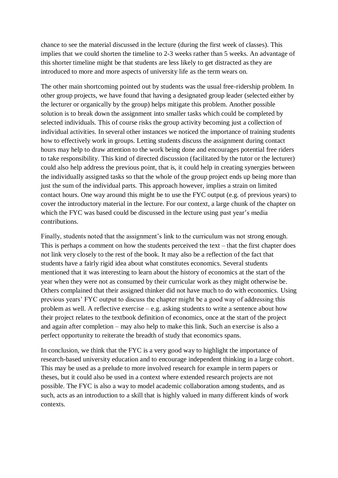chance to see the material discussed in the lecture (during the first week of classes). This implies that we could shorten the timeline to 2-3 weeks rather than 5 weeks. An advantage of this shorter timeline might be that students are less likely to get distracted as they are introduced to more and more aspects of university life as the term wears on.

The other main shortcoming pointed out by students was the usual free-ridership problem. In other group projects, we have found that having a designated group leader (selected either by the lecturer or organically by the group) helps mitigate this problem. Another possible solution is to break down the assignment into smaller tasks which could be completed by selected individuals. This of course risks the group activity becoming just a collection of individual activities. In several other instances we noticed the importance of training students how to effectively work in groups. Letting students discuss the assignment during contact hours may help to draw attention to the work being done and encourages potential free riders to take responsibility. This kind of directed discussion (facilitated by the tutor or the lecturer) could also help address the previous point, that is, it could help in creating synergies between the individually assigned tasks so that the whole of the group project ends up being more than just the sum of the individual parts. This approach however, implies a strain on limited contact hours. One way around this might be to use the FYC output (e.g. of previous years) to cover the introductory material in the lecture. For our context, a large chunk of the chapter on which the FYC was based could be discussed in the lecture using past year's media contributions.

Finally, students noted that the assignment's link to the curriculum was not strong enough. This is perhaps a comment on how the students perceived the text – that the first chapter does not link very closely to the rest of the book. It may also be a reflection of the fact that students have a fairly rigid idea about what constitutes economics. Several students mentioned that it was interesting to learn about the history of economics at the start of the year when they were not as consumed by their curricular work as they might otherwise be. Others complained that their assigned thinker did not have much to do with economics. Using previous years' FYC output to discuss the chapter might be a good way of addressing this problem as well. A reflective exercise – e.g. asking students to write a sentence about how their project relates to the textbook definition of economics, once at the start of the project and again after completion – may also help to make this link. Such an exercise is also a perfect opportunity to reiterate the breadth of study that economics spans.

In conclusion, we think that the FYC is a very good way to highlight the importance of research-based university education and to encourage independent thinking in a large cohort. This may be used as a prelude to more involved research for example in term papers or theses, but it could also be used in a context where extended research projects are not possible. The FYC is also a way to model academic collaboration among students, and as such, acts as an introduction to a skill that is highly valued in many different kinds of work contexts.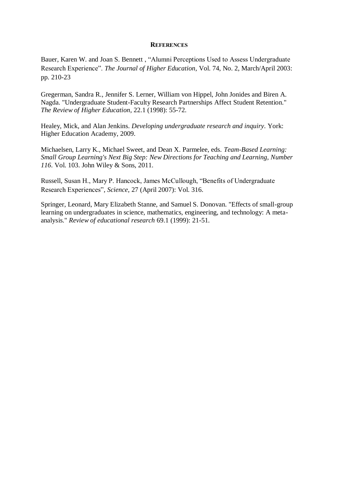### **REFERENCES**

[Bauer,](http://muse.jhu.edu/results?section1=author&search1=Karen%20W.%20Bauer) Karen W. and [Joan S. Bennett](http://muse.jhu.edu/results?section1=author&search1=Joan%20S.%20Bennett) , "Alumni Perceptions Used to Assess Undergraduate Research Experience". *[The Journal of Higher Education](http://muse.jhu.edu/journals/journal_of_higher_education)*, Vol. 74, No. [2, March/April 2003:](http://muse.jhu.edu/journals/journal_of_higher_education/toc/jhe74.2.html) pp. 210-23

Gregerman, Sandra R., Jennifer S. Lerner, William von Hippel, John Jonides and Biren A. Nagda. "Undergraduate Student-Faculty Research Partnerships Affect Student Retention." *The Review of Higher Education*, 22.1 (1998): 55-72.

Healey, Mick, and Alan Jenkins. *Developing undergraduate research and inquiry*. York: Higher Education Academy, 2009.

Michaelsen, Larry K., Michael Sweet, and Dean X. Parmelee, eds. *Team-Based Learning: Small Group Learning's Next Big Step: New Directions for Teaching and Learning, Number 116*. Vol. 103. John Wiley & Sons, 2011.

Russell, Susan H., Mary P. Hancock, James McCullough, "Benefits of Undergraduate Research Experiences", *Science*, 27 (April 2007): Vol. 316.

Springer, Leonard, Mary Elizabeth Stanne, and Samuel S. Donovan. "Effects of small-group learning on undergraduates in science, mathematics, engineering, and technology: A metaanalysis." *Review of educational research* 69.1 (1999): 21-51.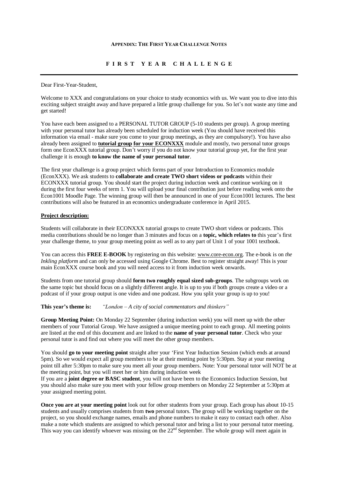#### **APPENDIX: THE FIRST YEAR CHALLENGE NOTES**

### **F I R S T Y E A R C H A L L E N G E**

Dear First-Year-Student,

Welcome to XXX and congratulations on your choice to study economics with us. We want you to dive into this exciting subject straight away and have prepared a little group challenge for you. So let's not waste any time and get started!

You have each been assigned to a PERSONAL TUTOR GROUP (5-10 students per group). A group meeting with your personal tutor has already been scheduled for induction week (You should have received this information via email - make sure you come to your group meetings, as they are compulsory!). You have also already been assigned to **tutorial group for your ECONXXX** module and mostly, two personal tutor groups form one EconXXX tutorial group. Don't worry if you do not know your tutorial group yet, for the first year challenge it is enough **to know the name of your personal tutor**.

The first year challenge is a group project which forms part of your Introduction to Economics module (EconXXX). We ask students to **collaborate and create TWO short videos or podcasts** within their ECONXXX tutorial group. You should start the project during induction week and continue working on it during the first four weeks of term 1. You will upload your final contribution just before reading week onto the Econ1001 Moodle Page. The winning group will then be announced in one of your Econ1001 lectures. The best contributions will also be featured in an economics undergraduate conference in April 2015.

#### **Project description:**

Students will collaborate in their ECONXXX tutorial groups to create TWO short videos or podcasts. This media contributions should be no longer than 3 minutes and focus on a **topic, which relates to** this year's first year challenge theme, to your group meeting point as well as to any part of Unit 1 of your 1001 textbook.

You can access this **FREE E-BOOK** by registering on this website: [www.core-econ.org.](http://www.core-econ.org/) The e-book is on *the Inkling platform* and can only be accessed using Google Chrome. Best to register straight away! This is your main EconXXX course book and you will need access to it from induction week onwards.

Students from one tutorial group should **form two roughly equal sized sub-groups**. The subgroups work on the same topic but should focus on a slightly different angle. It is up to you if both groups create a video or a podcast of if your group output is one video and one podcast. How you split your group is up to you!

**This year's theme is:** *"London – A city of social commentators and thinkers"*

**Group Meeting Point:** On Monday 22 September (during induction week) you will meet up with the other members of your Tutorial Group. We have assigned a unique meeting point to each group. All meeting points are listed at the end of this document and are linked to the **name of your personal tutor**. Check who your personal tutor is and find out where you will meet the other group members.

You should **go to your meeting point** straight after your 'First Year Induction Session (which ends at around 5pm). So we would expect all group members to be at their meeting point by 5:30pm. Stay at your meeting point till after 5:30pm to make sure you meet all your group members. Note: Your personal tutor will NOT be at the meeting point, but you will meet her or him during induction week

If you are a **joint degree or BASC student**, you will not have been to the Economics Induction Session, but you should also make sure you meet with your fellow group members on Monday 22 September at 5:30pm at your assigned meeting point.

**Once you are at your meeting point** look out for other students from your group. Each group has about 10-15 students and usually comprises students from **two** personal tutors. The group will be working together on the project, so you should exchange names, emails and phone numbers to make it easy to contact each other. Also make a note which students are assigned to which personal tutor and bring a list to your personal tutor meeting. This way you can identify whoever was missing on the 22<sup>nd</sup> September. The whole group will meet again in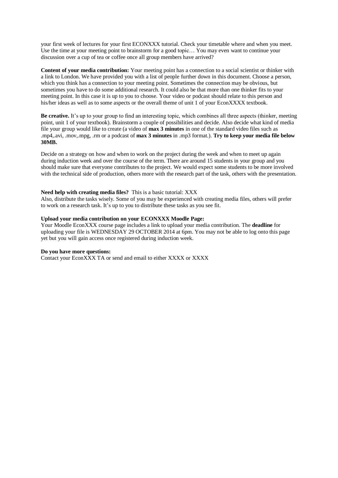your first week of lectures for your first ECONXXX tutorial. Check your timetable where and when you meet. Use the time at your meeting point to brainstorm for a good topic… You may even want to continue your discussion over a cup of tea or coffee once all group members have arrived?

**Content of your media contribution:** Your meeting point has a connection to a social scientist or thinker with a link to London. We have provided you with a list of people further down in this document. Choose a person, which you think has a connection to your meeting point. Sometimes the connection may be obvious, but sometimes you have to do some additional research. It could also be that more than one thinker fits to your meeting point. In this case it is up to you to choose. Your video or podcast should relate to this person and his/her ideas as well as to some aspects or the overall theme of unit 1 of your EconXXXX textbook.

**Be creative.** It's up to your group to find an interesting topic, which combines all three aspects (thinker, meeting point, unit 1 of your textbook). Brainstorm a couple of possibilities and decide. Also decide what kind of media file your group would like to create (a video of **max 3 minutes** in one of the standard video files such as .mp4,.avi, .mov,.mpg, .rm or a podcast of **max 3 minutes** in .mp3 format.). **Try to keep your media file below 30MB.**

Decide on a strategy on how and when to work on the project during the week and when to meet up again during induction week and over the course of the term. There are around 15 students in your group and you should make sure that everyone contributes to the project. We would expect some students to be more involved with the technical side of production, others more with the research part of the task, others with the presentation.

#### **Need help with creating media files?** This is a basic tutorial: XXX

Also, distribute the tasks wisely. Some of you may be experienced with creating media files, others will prefer to work on a research task. It's up to you to distribute these tasks as you see fit.

#### **Upload your media contribution on your ECONXXX Moodle Page:**

Your Moodle EconXXX course page includes a link to upload your media contribution. The **deadline** for uploading your file is WEDNESDAY 29 OCTOBER 2014 at 6pm. You may not be able to log onto this page yet but you will gain access once registered during induction week.

#### **Do you have more questions:**

Contact your EconXXX TA or send and email to either XXXX or XXXX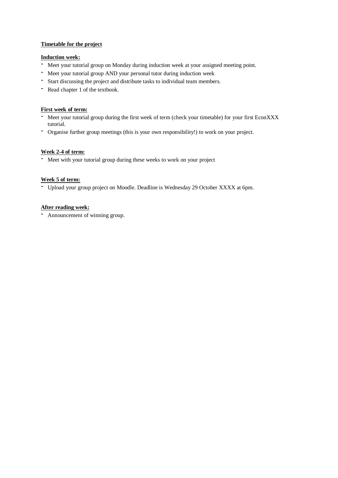### **Timetable for the project**

### **Induction week:**

- Meet your tutorial group on Monday during induction week at your assigned meeting point.
- Meet your tutorial group AND your personal tutor during induction week
- Start discussing the project and distribute tasks to individual team members.
- Read chapter <sup>1</sup> of the textbook.

### **First week of term:**

- Meet your tutorial group during the first week of term (check your timetable) for your first EconXXX tutorial.
- Organise further group meetings (this is your own responsibility!) to work on your project.

### **Week 2-4 of term:**

- Meet with your tutorial group during these weeks to work on your project

### **Week 5 of term:**

- Upload your group project on Moodle. Deadline is Wednesday <sup>29</sup> October XXXX at 6pm.

### **After reading week:**

- Announcement of winning group.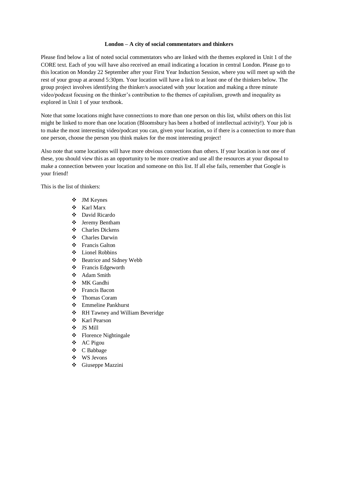#### **London – A city of social commentators and thinkers**

Please find below a list of noted social commentators who are linked with the themes explored in Unit 1 of the CORE text. Each of you will have also received an email indicating a location in central London. Please go to this location on Monday 22 September after your First Year Induction Session, where you will meet up with the rest of your group at around 5:30pm. Your location will have a link to at least one of the thinkers below. The group project involves identifying the thinker/s associated with your location and making a three minute video/podcast focusing on the thinker's contribution to the themes of capitalism, growth and inequality as explored in Unit 1 of your textbook.

Note that some locations might have connections to more than one person on this list, whilst others on this list might be linked to more than one location (Bloomsbury has been a hotbed of intellectual activity!). Your job is to make the most interesting video/podcast you can, given your location, so if there is a connection to more than one person, choose the person you think makes for the most interesting project!

Also note that some locations will have more obvious connections than others. If your location is not one of these, you should view this as an opportunity to be more creative and use all the resources at your disposal to make a connection between your location and someone on this list. If all else fails, remember that Google is your friend!

This is the list of thinkers:

- JM Keynes
- Karl Marx
- David Ricardo
- Jeremy Bentham
- Charles Dickens
- Charles Darwin
- Francis Galton
- Lionel Robbins
- Beatrice and Sidney Webb
- ❖ Francis Edgeworth
- Adam Smith
- MK Gandhi
- Francis Bacon
- ❖ Thomas Coram
- Emmeline Pankhurst
- RH Tawney and William Beveridge
- Karl Pearson
- JS Mill
- ❖ Florence Nightingale
- AC Pigou
- C Babbage
- WS Jevons
- Giuseppe Mazzini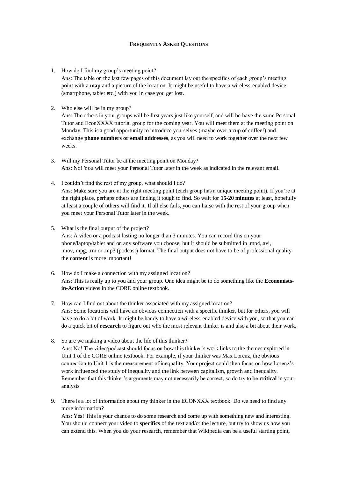#### **FREQUENTLY ASKED QUESTIONS**

- 1. How do I find my group's meeting point? Ans: The table on the last few pages of this document lay out the specifics of each group's meeting point with a **map** and a picture of the location. It might be useful to have a wireless-enabled device (smartphone, tablet etc.) with you in case you get lost.
- 2. Who else will be in my group?

Ans: The others in your groups will be first years just like yourself, and will be have the same Personal Tutor and EconXXXX tutorial group for the coming year. You will meet them at the meeting point on Monday. This is a good opportunity to introduce yourselves (maybe over a cup of coffee!) and exchange **phone numbers or email addresses**, as you will need to work together over the next few weeks.

- 3. Will my Personal Tutor be at the meeting point on Monday? Ans: No! You will meet your Personal Tutor later in the week as indicated in the relevant email.
- 4. I couldn't find the rest of my group, what should I do? Ans: Make sure you are at the right meeting point (each group has a unique meeting point). If you're at the right place, perhaps others are finding it tough to find. So wait for **15-20 minutes** at least, hopefully at least a couple of others will find it. If all else fails, you can liaise with the rest of your group when you meet your Personal Tutor later in the week.
- 5. What is the final output of the project? Ans: A video or a podcast lasting no longer than 3 minutes. You can record this on your phone/laptop/tablet and on any software you choose, but it should be submitted in .mp4,.avi, .mov,.mpg, .rm or .mp3 (podcast) format. The final output does not have to be of professional quality – the **content** is more important!
- 6. How do I make a connection with my assigned location? Ans: This is really up to you and your group. One idea might be to do something like the **Economistsin-Action** videos in the CORE online textbook.
- 7. How can I find out about the thinker associated with my assigned location? Ans: Some locations will have an obvious connection with a specific thinker, but for others, you will have to do a bit of work. It might be handy to have a wireless-enabled device with you, so that you can do a quick bit of **research** to figure out who the most relevant thinker is and also a bit about their work.
- 8. So are we making a video about the life of this thinker? Ans: No! The video/podcast should focus on how this thinker's work links to the themes explored in Unit 1 of the CORE online textbook. For example, if your thinker was Max Lorenz, the obvious connection to Unit 1 is the measurement of inequality. Your project could then focus on how Lorenz's work influenced the study of inequality and the link between capitalism, growth and inequality. Remember that this thinker's arguments may not necessarily be correct, so do try to be **critical** in your analysis
- 9. There is a lot of information about my thinker in the ECONXXX textbook. Do we need to find any more information?

Ans: Yes! This is your chance to do some research and come up with something new and interesting. You should connect your video to **specifics** of the text and/or the lecture, but try to show us how you can extend this. When you do your research, remember that Wikipedia can be a useful starting point,